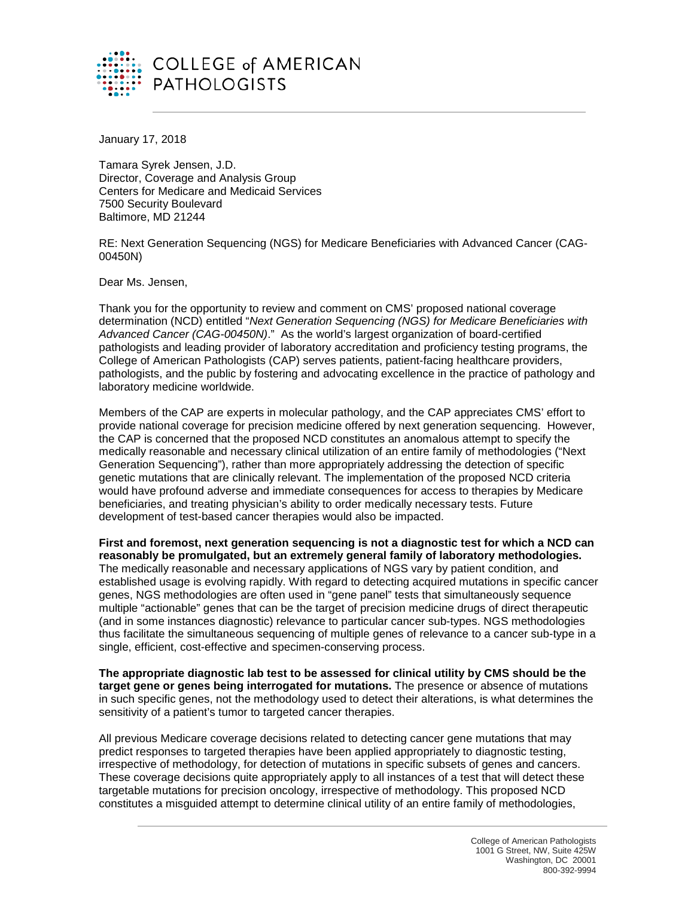

January 17, 2018

Tamara Syrek Jensen, J.D. Director, Coverage and Analysis Group Centers for Medicare and Medicaid Services 7500 Security Boulevard Baltimore, MD 21244

RE: Next Generation Sequencing (NGS) for Medicare Beneficiaries with Advanced Cancer (CAG-00450N)

Dear Ms. Jensen,

Thank you for the opportunity to review and comment on CMS' proposed national coverage determination (NCD) entitled "*Next Generation Sequencing (NGS) for Medicare Beneficiaries with Advanced Cancer (CAG-00450N)*." As the world's largest organization of board-certified pathologists and leading provider of laboratory accreditation and proficiency testing programs, the College of American Pathologists (CAP) serves patients, patient-facing healthcare providers, pathologists, and the public by fostering and advocating excellence in the practice of pathology and laboratory medicine worldwide.

Members of the CAP are experts in molecular pathology, and the CAP appreciates CMS' effort to provide national coverage for precision medicine offered by next generation sequencing. However, the CAP is concerned that the proposed NCD constitutes an anomalous attempt to specify the medically reasonable and necessary clinical utilization of an entire family of methodologies ("Next Generation Sequencing"), rather than more appropriately addressing the detection of specific genetic mutations that are clinically relevant. The implementation of the proposed NCD criteria would have profound adverse and immediate consequences for access to therapies by Medicare beneficiaries, and treating physician's ability to order medically necessary tests. Future development of test-based cancer therapies would also be impacted.

**First and foremost, next generation sequencing is not a diagnostic test for which a NCD can reasonably be promulgated, but an extremely general family of laboratory methodologies.** The medically reasonable and necessary applications of NGS vary by patient condition, and established usage is evolving rapidly. With regard to detecting acquired mutations in specific cancer genes, NGS methodologies are often used in "gene panel" tests that simultaneously sequence multiple "actionable" genes that can be the target of precision medicine drugs of direct therapeutic (and in some instances diagnostic) relevance to particular cancer sub-types. NGS methodologies thus facilitate the simultaneous sequencing of multiple genes of relevance to a cancer sub-type in a single, efficient, cost-effective and specimen-conserving process.

**The appropriate diagnostic lab test to be assessed for clinical utility by CMS should be the target gene or genes being interrogated for mutations.** The presence or absence of mutations in such specific genes, not the methodology used to detect their alterations, is what determines the sensitivity of a patient's tumor to targeted cancer therapies.

All previous Medicare coverage decisions related to detecting cancer gene mutations that may predict responses to targeted therapies have been applied appropriately to diagnostic testing, irrespective of methodology, for detection of mutations in specific subsets of genes and cancers. These coverage decisions quite appropriately apply to all instances of a test that will detect these targetable mutations for precision oncology, irrespective of methodology. This proposed NCD constitutes a misguided attempt to determine clinical utility of an entire family of methodologies,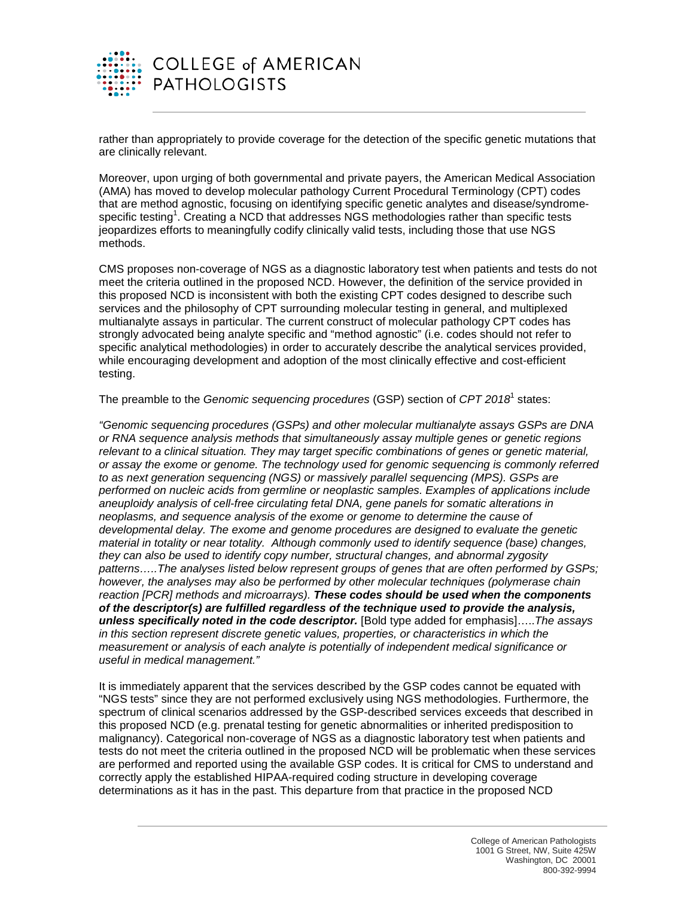

rather than appropriately to provide coverage for the detection of the specific genetic mutations that are clinically relevant.

Moreover, upon urging of both governmental and private payers, the American Medical Association (AMA) has moved to develop molecular pathology Current Procedural Terminology (CPT) codes that are method agnostic, focusing on identifying specific genetic analytes and disease/syndromespecific testing<sup>1</sup>. Creating a NCD that addresses NGS methodologies rather than specific tests jeopardizes efforts to meaningfully codify clinically valid tests, including those that use NGS methods.

CMS proposes non-coverage of NGS as a diagnostic laboratory test when patients and tests do not meet the criteria outlined in the proposed NCD. However, the definition of the service provided in this proposed NCD is inconsistent with both the existing CPT codes designed to describe such services and the philosophy of CPT surrounding molecular testing in general, and multiplexed multianalyte assays in particular. The current construct of molecular pathology CPT codes has strongly advocated being analyte specific and "method agnostic" (i.e. codes should not refer to specific analytical methodologies) in order to accurately describe the analytical services provided, while encouraging development and adoption of the most clinically effective and cost-efficient testing.

The preamble to the *Genomic sequencing procedures* (GSP) section of *CPT 2018*<sup>1</sup> states:

*"Genomic sequencing procedures (GSPs) and other molecular multianalyte assays GSPs are DNA or RNA sequence analysis methods that simultaneously assay multiple genes or genetic regions relevant to a clinical situation. They may target specific combinations of genes or genetic material, or assay the exome or genome. The technology used for genomic sequencing is commonly referred to as next generation sequencing (NGS) or massively parallel sequencing (MPS). GSPs are performed on nucleic acids from germline or neoplastic samples. Examples of applications include aneuploidy analysis of cell-free circulating fetal DNA, gene panels for somatic alterations in neoplasms, and sequence analysis of the exome or genome to determine the cause of developmental delay. The exome and genome procedures are designed to evaluate the genetic material in totality or near totality. Although commonly used to identify sequence (base) changes, they can also be used to identify copy number, structural changes, and abnormal zygosity patterns…..The analyses listed below represent groups of genes that are often performed by GSPs; however, the analyses may also be performed by other molecular techniques (polymerase chain reaction [PCR] methods and microarrays). These codes should be used when the components of the descriptor(s) are fulfilled regardless of the technique used to provide the analysis, unless specifically noted in the code descriptor.* [Bold type added for emphasis]…..*The assays in this section represent discrete genetic values, properties, or characteristics in which the measurement or analysis of each analyte is potentially of independent medical significance or useful in medical management."*

It is immediately apparent that the services described by the GSP codes cannot be equated with "NGS tests" since they are not performed exclusively using NGS methodologies. Furthermore, the spectrum of clinical scenarios addressed by the GSP-described services exceeds that described in this proposed NCD (e.g. prenatal testing for genetic abnormalities or inherited predisposition to malignancy). Categorical non-coverage of NGS as a diagnostic laboratory test when patients and tests do not meet the criteria outlined in the proposed NCD will be problematic when these services are performed and reported using the available GSP codes. It is critical for CMS to understand and correctly apply the established HIPAA-required coding structure in developing coverage determinations as it has in the past. This departure from that practice in the proposed NCD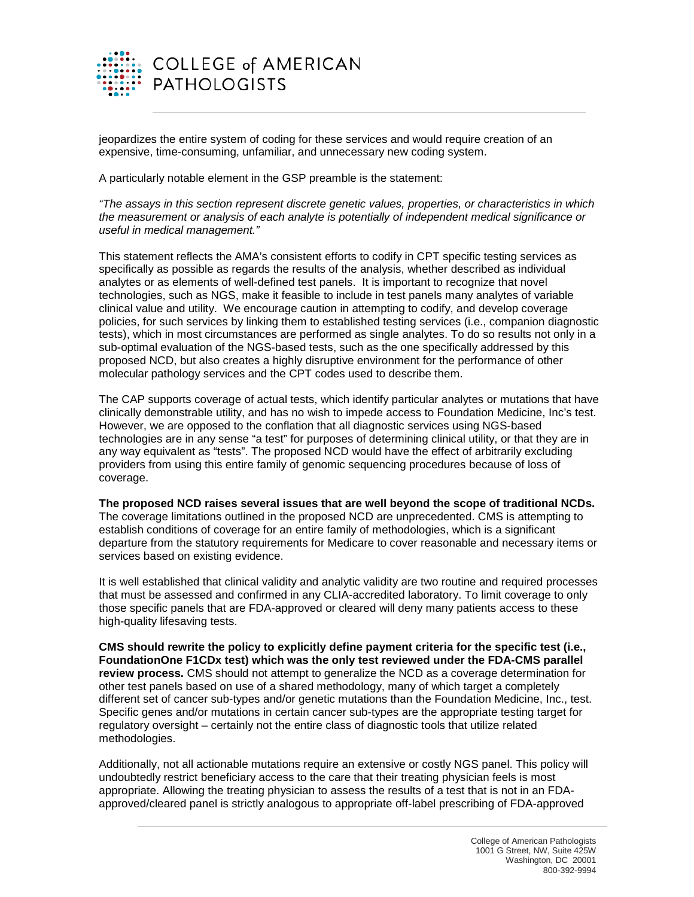

jeopardizes the entire system of coding for these services and would require creation of an expensive, time-consuming, unfamiliar, and unnecessary new coding system.

A particularly notable element in the GSP preamble is the statement:

*"The assays in this section represent discrete genetic values, properties, or characteristics in which the measurement or analysis of each analyte is potentially of independent medical significance or useful in medical management."*

This statement reflects the AMA's consistent efforts to codify in CPT specific testing services as specifically as possible as regards the results of the analysis, whether described as individual analytes or as elements of well-defined test panels. It is important to recognize that novel technologies, such as NGS, make it feasible to include in test panels many analytes of variable clinical value and utility. We encourage caution in attempting to codify, and develop coverage policies, for such services by linking them to established testing services (i.e., companion diagnostic tests), which in most circumstances are performed as single analytes. To do so results not only in a sub-optimal evaluation of the NGS-based tests, such as the one specifically addressed by this proposed NCD, but also creates a highly disruptive environment for the performance of other molecular pathology services and the CPT codes used to describe them.

The CAP supports coverage of actual tests, which identify particular analytes or mutations that have clinically demonstrable utility, and has no wish to impede access to Foundation Medicine, Inc's test. However, we are opposed to the conflation that all diagnostic services using NGS-based technologies are in any sense "a test" for purposes of determining clinical utility, or that they are in any way equivalent as "tests". The proposed NCD would have the effect of arbitrarily excluding providers from using this entire family of genomic sequencing procedures because of loss of coverage.

**The proposed NCD raises several issues that are well beyond the scope of traditional NCDs.**  The coverage limitations outlined in the proposed NCD are unprecedented. CMS is attempting to establish conditions of coverage for an entire family of methodologies, which is a significant departure from the statutory requirements for Medicare to cover reasonable and necessary items or services based on existing evidence.

It is well established that clinical validity and analytic validity are two routine and required processes that must be assessed and confirmed in any CLIA-accredited laboratory. To limit coverage to only those specific panels that are FDA-approved or cleared will deny many patients access to these high-quality lifesaving tests.

**CMS should rewrite the policy to explicitly define payment criteria for the specific test (i.e., FoundationOne F1CDx test) which was the only test reviewed under the FDA-CMS parallel review process.** CMS should not attempt to generalize the NCD as a coverage determination for other test panels based on use of a shared methodology, many of which target a completely different set of cancer sub-types and/or genetic mutations than the Foundation Medicine, Inc., test. Specific genes and/or mutations in certain cancer sub-types are the appropriate testing target for regulatory oversight – certainly not the entire class of diagnostic tools that utilize related methodologies.

Additionally, not all actionable mutations require an extensive or costly NGS panel. This policy will undoubtedly restrict beneficiary access to the care that their treating physician feels is most appropriate. Allowing the treating physician to assess the results of a test that is not in an FDAapproved/cleared panel is strictly analogous to appropriate off-label prescribing of FDA-approved